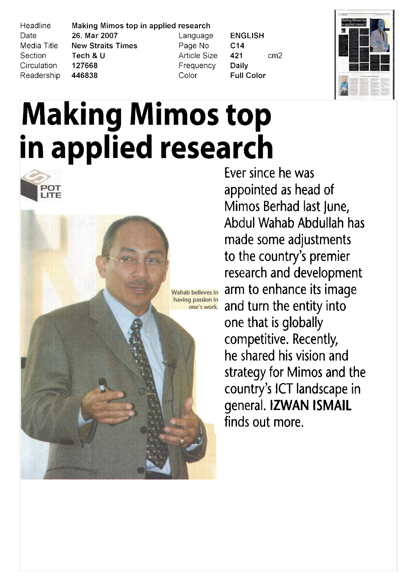Headline Date Media Title Section Circulation Readership

> POT **ITF**

Making Mimos top in applied research 26. Mar 2007 **New Straits Times** Tech & U 127668 446838

Language Page No **Article Size** Frequency Color

**ENGLISH**  $C<sub>14</sub>$ 421  $cm<sub>2</sub>$ **Daily Full Color** 



# Making Mimos top in applied research

**Wahab believes in** having passion in one's work.

Ever since he was appointed as head of Mimos Berhad last June Abdul Wahab Abdullah has made some adjustments to the country's premier research and development arm to enhance its image and turn the entity into one that is globally competitive. Recently, he shared his vision and strategy for Mimos and the country's ICT landscape in general. IZWAN ISMAIL finds out more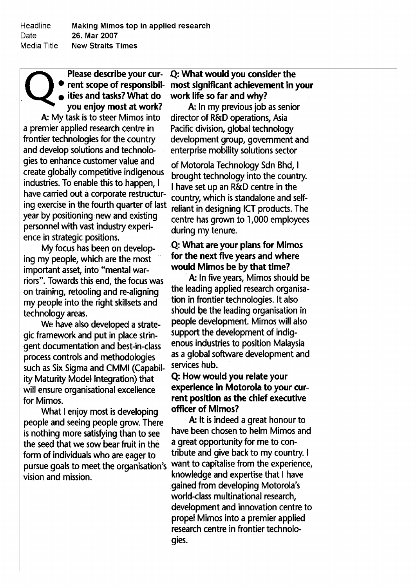Please describe your cur-**•** rent scope of responsibil- $\cdot$  ities and tasks? What do you enjoy most at work A: My task is to steer Mimos into <sup>a</sup> premier applied research centre in frontier technologies for the country and develop solutions and technolo gies to enhance customer value and create globally competitive indigenous industries. To enable this to happen, I have carried out <sup>a</sup> corporate restructur ing exercise in the fourth quarter of last year by positioning new and existing personnel with vast industry experi ence in strategic positions

My focus has been on develop ing my people, which are the most important asset, into "mental warriors". Towards this end, the focus was on training, retooling and re-aligning my people into the right skillsets and technology areas

We have also developed <sup>a</sup> strate gic framework and pu<sup>t</sup> in place strin gent documentation and best-in-class process controls and methodologies such as Six Sigma and CMMl Capabil ity Maturity Model Integration) that will ensure organisational excellence for Mimos

What I enjoy most is developing people and seeing people grow There is nothing more satisfying than to see the seed that we sow bear fruit in the form of individuals who are eager to pursue goals to meet the organisation's vision and mission

# Q: What would you consider the most significant achievement in your work life so far and why

A: In my previous job as senior director of R&D operations. Asia Pacific division, global technology development group, government and enterprise mobility solutions sector

of Motorola Technology Sdn Bhd, I brought technology into the country I have set up an R&D centre in the country, which is standalone and selfreliant in designing ICT products. The centre has grown to 1,000 employees during my tenure.

# Q: What are your plans for Mimos for the next five years and where would Mimos be by that time

A: In five years, Mimos should be the leading applied research organisa tion in frontier technologies. It also should be the leading organisation in people development. Mimos will also suppor<sup>t</sup> the development of indig enous industries to position Malaysia as <sup>a</sup> global software development and services hub

## Q: How would you relate your experience in Motorola to your cur rent position as the chief executive officer of Mimos

A: It is indeed a great honour to have been chosen to helm Mimos and <sup>a</sup> grea<sup>t</sup> opportunity for me to con tribute and give back to my country. I want to capitalise from the experience, knowledge and expertise that I have gained from developing Motorola's world-class multinational research. development and innovation centre to propel Mimos into <sup>a</sup> premier applied research centre in frontier technolo gies